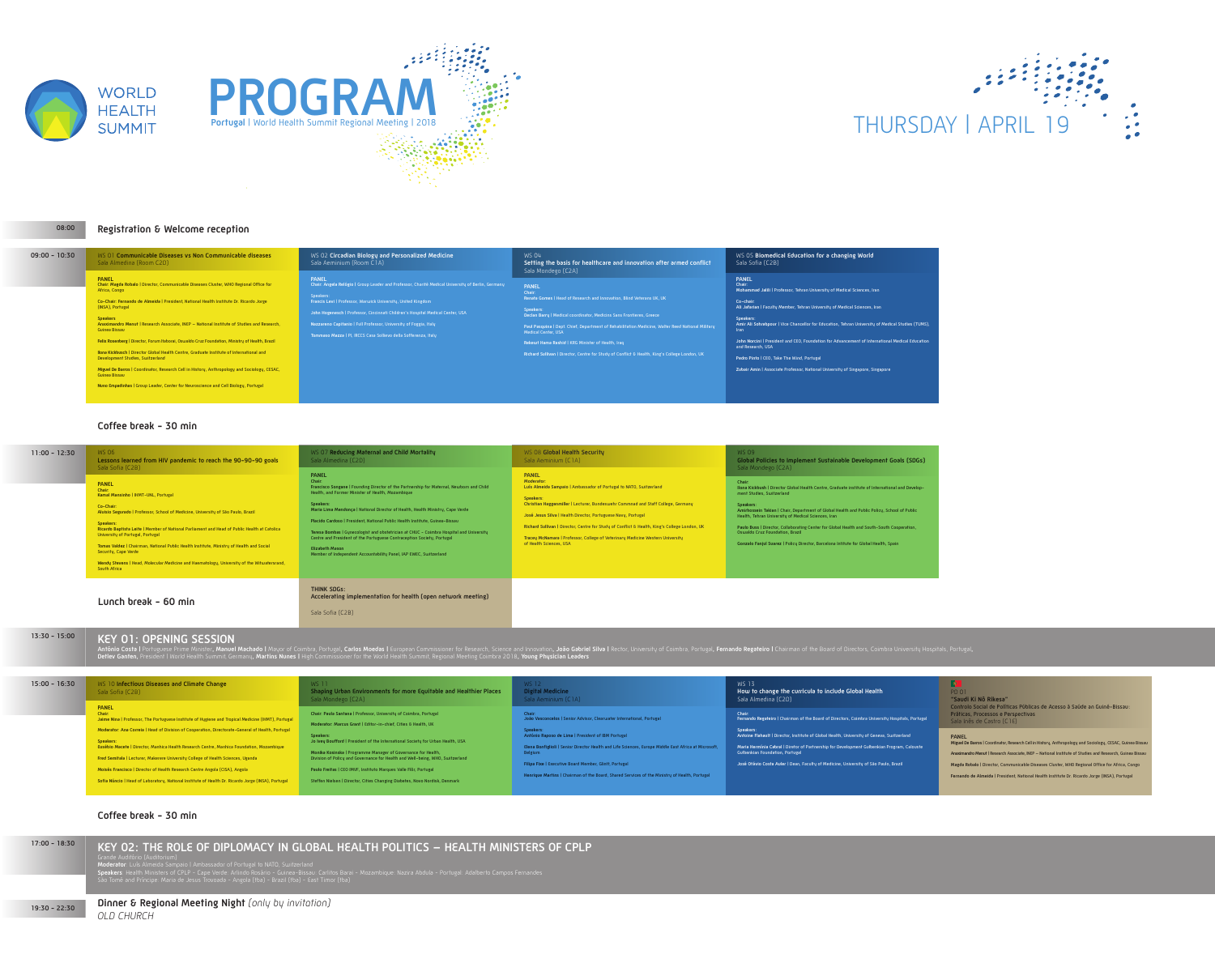

**08:00**



| $17:00 - 18:30$ | KEY 02: THE ROLE OF DIPLOMACY IN GLOBAL HEALTH POLITICS - HEALTH MINISTERS<br>Grande Auditório (Auditorium)<br>Moderator: Luís Almeida Sampaio   Ambassador of Portugal to NATO, Switzerland<br>Speakers: Health Ministers of CPLP - Cape Verde: Arlindo Rosário - Guinea-Bissau: Carlitos Barai - Mozambique: Nazira Abdula - Portugal: Adalberto Campos Fernandes<br>São Tomé and Príncipe: Maria de Jesus Trovoada - Angola (tba) - Brazil (tba) - East Timor (tba) |
|-----------------|------------------------------------------------------------------------------------------------------------------------------------------------------------------------------------------------------------------------------------------------------------------------------------------------------------------------------------------------------------------------------------------------------------------------------------------------------------------------|
| $19:30 - 22:30$ | <b>Dinner &amp; Regional Meeting Night</b> (only by invitation)<br>OLD CHURCH                                                                                                                                                                                                                                                                                                                                                                                          |

# THURSDAY | APRIL 19

### **Coffee break - 30 min**

#### **Coffee break - 30 min**

#### **Registration & Welcome reception**

### **Lunch break - 60 min**

#### WS 04 **Setting the basis for healthcare and innovation after armed conflict** Mondego (C2A)

| $09:00 - 10:30$ | WS 01 Communicable Diseases vs Non Communicable diseases<br>Sala Almedina (Room C2D)                                                                                                                                                                                                                                                                                                                                                                                                                                                                                                                                                                                                                                                                                                                              | WS 02 Circadian Biology and Personalized Medicine<br>Sala Aeminium (Room C1A)                                                                                                                                                                                                                                                                                                                                            | <b>WS 04</b><br><b>Setting</b><br>Sala Mo                                                                                                  |
|-----------------|-------------------------------------------------------------------------------------------------------------------------------------------------------------------------------------------------------------------------------------------------------------------------------------------------------------------------------------------------------------------------------------------------------------------------------------------------------------------------------------------------------------------------------------------------------------------------------------------------------------------------------------------------------------------------------------------------------------------------------------------------------------------------------------------------------------------|--------------------------------------------------------------------------------------------------------------------------------------------------------------------------------------------------------------------------------------------------------------------------------------------------------------------------------------------------------------------------------------------------------------------------|--------------------------------------------------------------------------------------------------------------------------------------------|
|                 | <b>PANEL</b><br>Chair: Magda Robalo   Director, Communicable Diseases Cluster, WHO Regional Office for<br>Africa, Congo<br>Co-Chair: Fernando de Almeida   President, National Health Institute Dr. Ricardo Jorge<br>(INSA), Portugal<br><b>Speakers</b><br>Anaximandro Menut   Research Associate, INEP - National Institute of Studies and Research,<br>Guinea Bissau<br>Felix Rosenberg   Director, Forum Itaborai, Oswaldo Cruz Foundation, Ministry of Health, Brazil<br>Ilona Kickbusch   Director Global Health Centre, Graduate Institute of International and<br>Development Studies, Switzerland<br>Miguel De Barros   Coordinator, Research Cell in History, Anthropology and Sociology, CESAC,<br>Guinea Bissau<br>Nuno Empadinhas   Group Leader, Center for Neuroscience and Cell Biology, Portugal | <b>PANEL</b><br>Chair: Angela Relógio   Group Leader and Professor, Charité Medical University of Berlin, Germany<br>Speakers:<br>Francis Levi   Professor, Warwick University, United Kingdom<br>John Hogenesch   Professor, Cincinnati Children's Hospital Medical Center, USA<br>Nazzareno Capitanio   Full Professor, University of Foggia, Italy<br>Tommaso Mazza   PI, IRCCS Casa Sollievo della Sofferenza, Italy | <b>PANEL</b><br>Chair:<br>Renata Go<br>Speakers:<br>Declan Bar<br>Paul Pasqu<br><b>Medical Ce</b><br><b>Rekewt Ha</b><br><b>Richard Su</b> |

**Renata Gomes** | Head of Research and Innovation, Blind Veterans UK, UK

| $11:00 - 12:30$ | <b>WS 06</b><br>Lessons learned from HIV pandemic to reach the 90-90-90 goals<br>Sala Sofia (C2B)<br><b>PANEL</b><br>Chair:<br>Kamal Mansinho   IHMT-UNL, Portugal<br>Co-Chair:<br>Aluisio Segurado   Professor, School of Medicine, University of São Paulo, Brazil<br>Speakers:<br>Ricardo Baptista Leite   Member of National Parliament and Head of Public Health at Catolica<br>University of Portugal, Portugal<br>Tomas Valdez   Chairman, National Public Health Institute, Ministry of Health and Social<br>Security, Cape Verde<br>Wendy Stevens   Head, Molecular Medicine and Haematology, University of the Witwatersrand,<br>South Africa | WS 07 Reducing Maternal and Child Mortality<br>Sala Almedina (C2D)<br><b>PANEL</b><br>Chair:<br>Francisco Songane   Founding Director of the Partnership for Maternal, Newborn and Child<br>Health, and Former Minister of Health, Mozambique<br>Speakers:<br>Maria Lima Mendonça   National Director of Health, Health Ministry, Cape Verde<br>Placido Cardoso   President, National Public Health Institute, Guinea-Bissau<br>Teresa Bombas   Gynecologist and obstetrician at CHUC - Coimbra Hospital and University<br>Centre and President of the Portuguese Contraception Society, Portugal<br><b>Elizabeth Mason</b><br>Member of Independent Accountability Panel, IAP EWEC, Switzerland | WS 08 Global Heal<br>Sala Aeminium (C1<br><b>PANEL</b><br>Moderator:<br>Luís Almeida Sampaio   /<br>Speakers:<br>Christian Haggenmiller  <br>José Jesus Silva   Health<br>Richard Sullivan   Directo<br><b>Tracey McNamara   Profe</b><br>of Health Sciences, USA |
|-----------------|---------------------------------------------------------------------------------------------------------------------------------------------------------------------------------------------------------------------------------------------------------------------------------------------------------------------------------------------------------------------------------------------------------------------------------------------------------------------------------------------------------------------------------------------------------------------------------------------------------------------------------------------------------|--------------------------------------------------------------------------------------------------------------------------------------------------------------------------------------------------------------------------------------------------------------------------------------------------------------------------------------------------------------------------------------------------------------------------------------------------------------------------------------------------------------------------------------------------------------------------------------------------------------------------------------------------------------------------------------------------|-------------------------------------------------------------------------------------------------------------------------------------------------------------------------------------------------------------------------------------------------------------------|
|                 | $\mathbf{L}$ and $\mathbf{L}$ and $\mathbf{L}$ and $\mathbf{L}$                                                                                                                                                                                                                                                                                                                                                                                                                                                                                                                                                                                         | <b>THINK SDGs:</b><br>Accelerating implementation for health (open network meeting)                                                                                                                                                                                                                                                                                                                                                                                                                                                                                                                                                                                                              |                                                                                                                                                                                                                                                                   |

**Declan Barry** | Medical coordinator, Medicins Sans Frontieres, Greece

**Paul Pasquina** | Dept. Chief, Department of Rehabilitation Medicine, Walter Reed National Military

**Rekewt Hama Rashid** | KRG Minister of Health, Iraq

**Richard Sullivan** | Director, Centre for Study of Conflict & Health, King's College London, UK

#### WS 05 **Biomedical Education for a changing World** Sala Sofia (C2B)

#### **PANEL Chair:**

- **Mohammad Jalili** | Professor, Tehran University of Medical Sciences, Iran
- **Co-chair: Ali Jafarian** | Faculty Member, Tehran University of Medical Sciences, Iran
- **Speakers: Amir Ali Sohrabpour** | Vice Chancellor for Education, Tehran University of Medical Studies (TUMS),
- Iran
- **John Norcini** | President and CEO, Foundation for Advancement of International Medical Education and Research, USA
- **Pedro Pinto** | CEO, Take The Wind, Portugal
- **Zubair Amin** | Associate Professor, National University of Singapore, Singapore

#### **Digital Medicine**   $S$ ala  $\Gamma$  (C1A)

| $13:30 - 15:00$ | <b>KEY 01: OPENING SESSION</b>                                                                                                                                                                                                                                                                                                                                                                                                  | António Costa   Portuguese Prime Minister, Manuel Machado   Mayor of Coimbra, Portugal, Carlos Moedas   European Commissioner for Research, Science and Innovation, João Gabriel<br>Detlev Ganten, President   World Health Summit, Germany, Martins Nunes   High Commissioner for the World Health Summit, Regional Meeting Coimbra 2018, Young Physician Leaders                    |                                                                                                                                               |
|-----------------|---------------------------------------------------------------------------------------------------------------------------------------------------------------------------------------------------------------------------------------------------------------------------------------------------------------------------------------------------------------------------------------------------------------------------------|---------------------------------------------------------------------------------------------------------------------------------------------------------------------------------------------------------------------------------------------------------------------------------------------------------------------------------------------------------------------------------------|-----------------------------------------------------------------------------------------------------------------------------------------------|
|                 |                                                                                                                                                                                                                                                                                                                                                                                                                                 |                                                                                                                                                                                                                                                                                                                                                                                       |                                                                                                                                               |
| $15:00 - 16:30$ | WS 10 Infectious Diseases and Climate Change<br>Sala Sofia (C2B)                                                                                                                                                                                                                                                                                                                                                                | <b>WS 11</b><br>Shaping Urban Environments for more Equitable and Healthier Places<br>Sala Mondego (C2A)                                                                                                                                                                                                                                                                              | <b>WS 12</b><br><b>Digital Medicine</b><br>Sala Aeminium (C1A)                                                                                |
|                 | <b>PANEL</b><br>Chair:<br>Jaime Nina   Professor, The Portuguese Institute of Hygiene and Tropical Medicine (IHMT), Portugal<br>Moderator: Ana Correia   Head of Division of Cooperation, Directorate-General of Health, Portugal<br>Speakers:<br>Eusébio Macete   Director, Manhica Health Research Centre, Manhica Foundation, Mozambique<br>Fred Semitala   Lecturer, Makerere University College of Health Sciences, Uganda | Chair: Paula Santana   Professor, University of Coimbra, Portugal<br>Moderator: Marcus Grant   Editor-in-chief, Cities & Health, UK<br>Speakers:<br>Jo Ivey Boufford   President of the International Society for Urban Health, USA<br>Monika Kosinska   Programme Manager of Governance for Health,<br>Division of Policy and Governance for Health and Well-being, WHO, Switzerland | Chair:<br>João Vasconcelos   Senior Adviso<br>Speakers:<br>António Raposo de Lima   Preside<br>Elena Bonfiglioli   Senior Director<br>Belgium |
|                 | Moisés Francisco   Director of Health Research Centre Angola (CISA), Angola                                                                                                                                                                                                                                                                                                                                                     | Paulo Freitas   CEO IMVF, Instituto Marques Valle Flôr, Portugal                                                                                                                                                                                                                                                                                                                      | <b>Filipa Fixe   Executive Board Mem</b>                                                                                                      |

#### $\bullet$   $\blacksquare$ PD 01

#### WS 08 **Global Health Security**

Aeminium (C1A)

#### **PANEL**

I Center, USA



- **Moderator: Luís Almeida Sampaio** | Ambassador of Portugal to NATO, Switzerland
- **Speakers: Christian Haggenmiller** | Lecturer, Bundeswehr Commnad and Staff College, Germany
- **Jesus Silva | Health Director, Portuguese Navy, Portugal**
- **Richard Sullivan |** Director, Centre for Study of Conflict & Health, King's College London, UK
- **Tracey McNamara** | Professor, College of Veterinary Medicine Western University

**Accelerating implementation for health (open network meeting)** Sala Sofia (C2B)

WS 09

#### **Global Policies to Implement Sustainable Development Goals (SDGs)**  Sala Mondego (C2A)

- **Chair: Ilona Kickbush** | Director Global Health Centre, Graduate institute of International and Development Studies, Switzerland
- **Speakers: Amirhossein Takian** | Chair, Department of Global Health and Public Policy, School of Public Health, Tehran University of Medical Sciences, Iran
- **Paulo Buss** | Director, Collaborating Center for Global Health and South-South Cooperation, Oswaldo Cruz Foundation, Brazil
- **Gonzalo Fanjul Suarez** | Policy Director, Barcelona Intitute for Global Health, Spain

# ion**, João Gabriel Silva |** Rector, University of Coimbra, Portugal**, Fernando Regateiro |** Chairman of the Board of Directors, Coimbra University Hospitals, Portugal,

**Sofia Núncio** | Head of Laboratory, National Institute of Health Dr. Ricardo Jorge (INSA), Portugal Steffen Nielsen | Director, Cities Changing Diabetes, Novo Nordisk, Denmark **João Vasconcelos** | Senior Advisor, Clearwater International, Portugal

- **Speakers: António Raposo de Lima** | President of IBM Portugal
- **Elena Bonfiglioli** | Senior Director Health and Life Sciences, Europe Middle East Africa at Microsoft,
- 
- **Elliph Filippa Filippa Filippa Filipp** Portugal
- **Henrique Martins** | Chairman of the Board, Shared Services of the Ministry of Health, Portugal

#### WS 13 **How to change the curricula to include Global Health** Sala Almedina (C2D)

- **Chair:**
- **Fernando Regateiro** | Chairman of the Board of Directors, Coimbra University Hospitals, Portugal **Speakers:**
- **Antoine Flahault** | Director, Institute of Global Health, University of Geneva, Switzerland
- **Maria Hermínia Cabral** | Diretor of Partnership for Development Gulbenkian Program, Calouste Gulbenkian Foundation, Portugal
- **José Otávio Costa Auler** | Dean, Faculty of Medicine, University of São Paulo, Brazil

**"Saudi Ki Nô Rikesa"** Controlo Social de Políticas Públicas de Acesso à Saúde an Guiné-Bissau: Práticas, Processos e Perspectivas Sala Inês de Castro (C1E)

### **PANEL**

**Miguel De Barros** | Coordinator, Research Cell in History, Anthropology and Sociology, CESAC, Guinea Bissau **Anaximandro Menut** | Research Associate, INEP – National Institute of Studies and Research, Guinea Bissau **Magda Robalo** | Director, Communicable Diseases Cluster, WHO Regional Office for Africa, Congo **Fernando de Almeida** | President, National Health Institute Dr. Ricardo Jorge (INSA), Portugal

### ERS OF CPLP